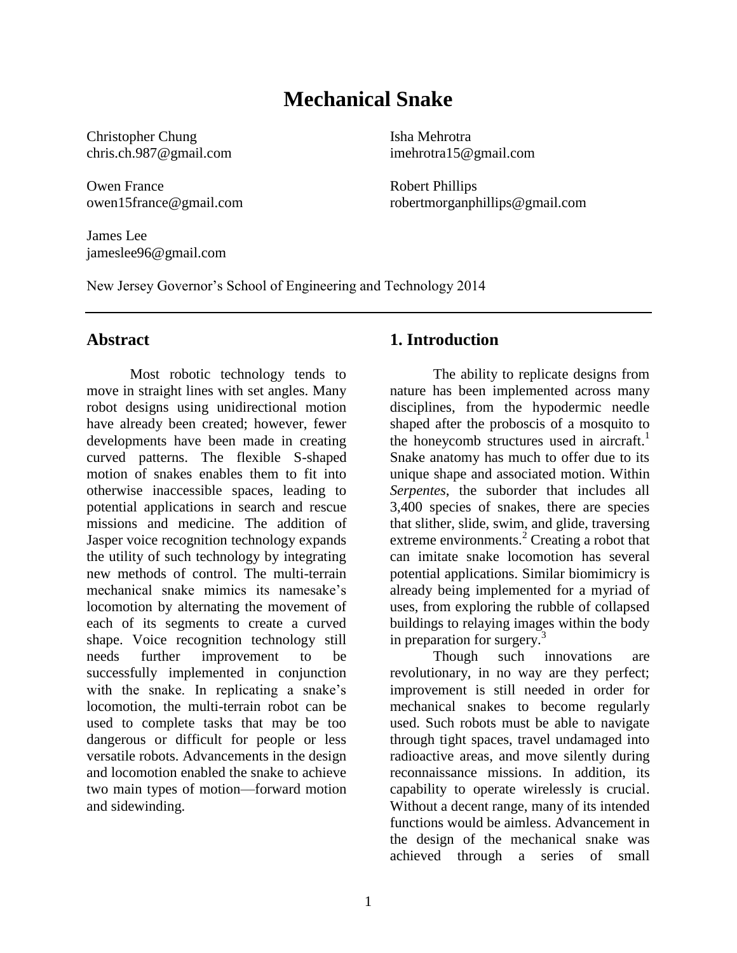## **Mechanical Snake**

Christopher Chung chris.ch.987@gmail.com

Owen France owen15france@gmail.com

James Lee jameslee96@gmail.com Isha Mehrotra imehrotra15@gmail.com

Robert Phillips robertmorganphillips@gmail.com

New Jersey Governor's School of Engineering and Technology 2014

#### **Abstract**

Most robotic technology tends to move in straight lines with set angles. Many robot designs using unidirectional motion have already been created; however, fewer developments have been made in creating curved patterns. The flexible S-shaped motion of snakes enables them to fit into otherwise inaccessible spaces, leading to potential applications in search and rescue missions and medicine. The addition of Jasper voice recognition technology expands the utility of such technology by integrating new methods of control. The multi-terrain mechanical snake mimics its namesake's locomotion by alternating the movement of each of its segments to create a curved shape. Voice recognition technology still needs further improvement to be successfully implemented in conjunction with the snake. In replicating a snake's locomotion, the multi-terrain robot can be used to complete tasks that may be too dangerous or difficult for people or less versatile robots. Advancements in the design and locomotion enabled the snake to achieve two main types of motion—forward motion and sidewinding.

### **1. Introduction**

The ability to replicate designs from nature has been implemented across many disciplines, from the hypodermic needle shaped after the proboscis of a mosquito to the honeycomb structures used in aircraft.<sup>1</sup> Snake anatomy has much to offer due to its unique shape and associated motion. Within *Serpentes*, the suborder that includes all 3,400 species of snakes, there are species that slither, slide, swim, and glide, traversing extreme environments. $^{2}$  Creating a robot that can imitate snake locomotion has several potential applications. Similar biomimicry is already being implemented for a myriad of uses, from exploring the rubble of collapsed buildings to relaying images within the body in preparation for surgery.<sup>3</sup>

Though such innovations are revolutionary, in no way are they perfect; improvement is still needed in order for mechanical snakes to become regularly used. Such robots must be able to navigate through tight spaces, travel undamaged into radioactive areas, and move silently during reconnaissance missions. In addition, its capability to operate wirelessly is crucial. Without a decent range, many of its intended functions would be aimless. Advancement in the design of the mechanical snake was achieved through a series of small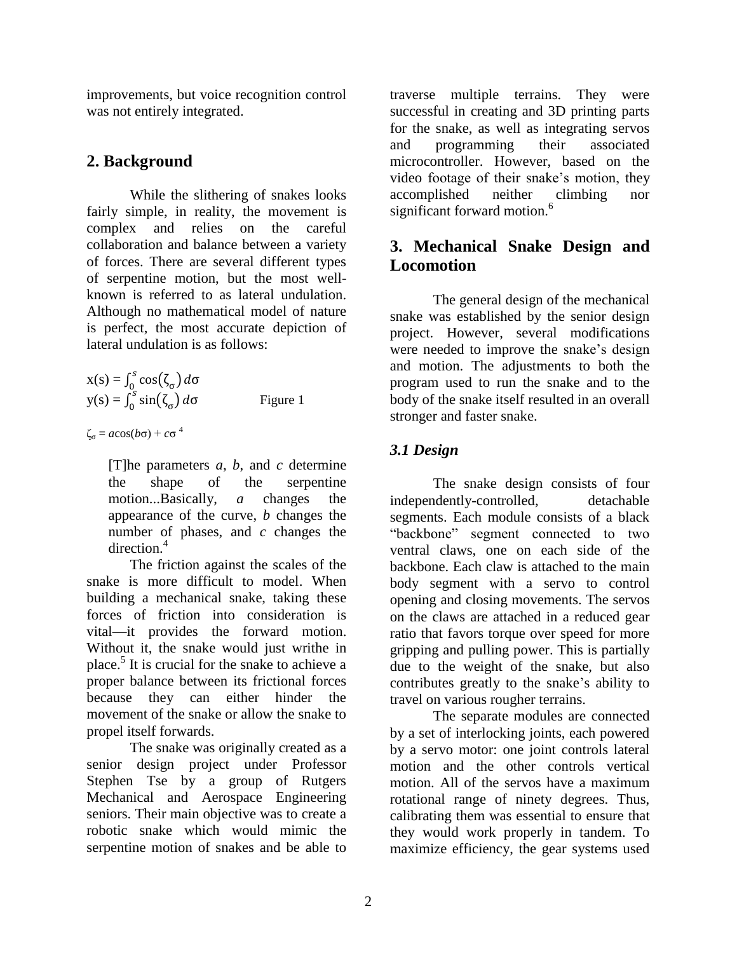improvements, but voice recognition control was not entirely integrated.

### **2. Background**

While the slithering of snakes looks fairly simple, in reality, the movement is complex and relies on the careful collaboration and balance between a variety of forces. There are several different types of serpentine motion, but the most wellknown is referred to as lateral undulation. Although no mathematical model of nature is perfect, the most accurate depiction of lateral undulation is as follows:

$$
x(s) = \int_0^s \cos(\zeta_\sigma) d\sigma
$$
  
y(s) =  $\int_0^s \sin(\zeta_\sigma) d\sigma$  Figure 1

ζ<sup>σ</sup> = *a*cos(*b*σ) + *c*σ 4

[T]he parameters *a*, *b*, and *c* determine the shape of the serpentine motion...Basically, *a* changes the appearance of the curve, *b* changes the number of phases, and *c* changes the direction.<sup>4</sup>

The friction against the scales of the snake is more difficult to model. When building a mechanical snake, taking these forces of friction into consideration is vital—it provides the forward motion. Without it, the snake would just writhe in place.<sup>5</sup> It is crucial for the snake to achieve a proper balance between its frictional forces because they can either hinder the movement of the snake or allow the snake to propel itself forwards.

The snake was originally created as a senior design project under Professor Stephen Tse by a group of Rutgers Mechanical and Aerospace Engineering seniors. Their main objective was to create a robotic snake which would mimic the serpentine motion of snakes and be able to

traverse multiple terrains. They were successful in creating and 3D printing parts for the snake, as well as integrating servos and programming their associated microcontroller. However, based on the video footage of their snake's motion, they accomplished neither climbing nor significant forward motion.<sup>6</sup>

### **3. Mechanical Snake Design and Locomotion**

The general design of the mechanical snake was established by the senior design project. However, several modifications were needed to improve the snake's design and motion. The adjustments to both the program used to run the snake and to the body of the snake itself resulted in an overall stronger and faster snake.

### *3.1 Design*

The snake design consists of four independently-controlled, detachable segments. Each module consists of a black "backbone" segment connected to two ventral claws, one on each side of the backbone. Each claw is attached to the main body segment with a servo to control opening and closing movements. The servos on the claws are attached in a reduced gear ratio that favors torque over speed for more gripping and pulling power. This is partially due to the weight of the snake, but also contributes greatly to the snake's ability to travel on various rougher terrains.

The separate modules are connected by a set of interlocking joints, each powered by a servo motor: one joint controls lateral motion and the other controls vertical motion. All of the servos have a maximum rotational range of ninety degrees. Thus, calibrating them was essential to ensure that they would work properly in tandem. To maximize efficiency, the gear systems used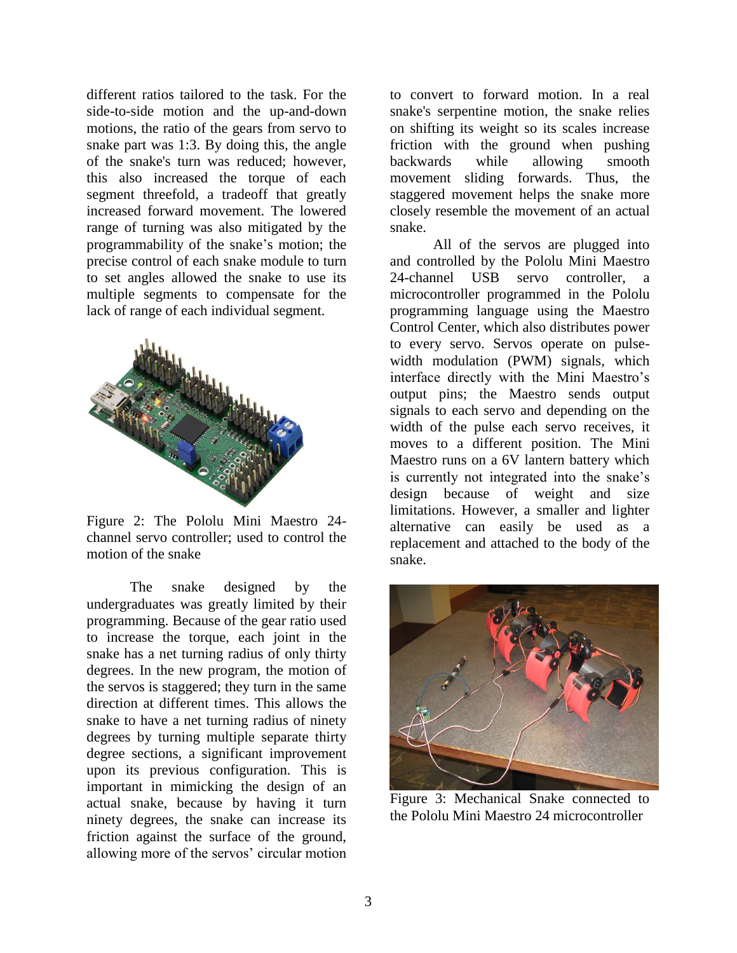different ratios tailored to the task. For the side-to-side motion and the up-and-down motions, the ratio of the gears from servo to snake part was 1:3. By doing this, the angle of the snake's turn was reduced; however, this also increased the torque of each segment threefold, a tradeoff that greatly increased forward movement. The lowered range of turning was also mitigated by the programmability of the snake's motion; the precise control of each snake module to turn to set angles allowed the snake to use its multiple segments to compensate for the lack of range of each individual segment.



Figure 2: The Pololu Mini Maestro 24 channel servo controller; used to control the motion of the snake

The snake designed by the undergraduates was greatly limited by their programming. Because of the gear ratio used to increase the torque, each joint in the snake has a net turning radius of only thirty degrees. In the new program, the motion of the servos is staggered; they turn in the same direction at different times. This allows the snake to have a net turning radius of ninety degrees by turning multiple separate thirty degree sections, a significant improvement upon its previous configuration. This is important in mimicking the design of an actual snake, because by having it turn ninety degrees, the snake can increase its friction against the surface of the ground, allowing more of the servos' circular motion

to convert to forward motion. In a real snake's serpentine motion, the snake relies on shifting its weight so its scales increase friction with the ground when pushing backwards while allowing smooth movement sliding forwards. Thus, the staggered movement helps the snake more closely resemble the movement of an actual snake.

All of the servos are plugged into and controlled by the Pololu Mini Maestro 24-channel USB servo controller, a microcontroller programmed in the Pololu programming language using the Maestro Control Center, which also distributes power to every servo. Servos operate on pulsewidth modulation (PWM) signals, which interface directly with the Mini Maestro's output pins; the Maestro sends output signals to each servo and depending on the width of the pulse each servo receives, it moves to a different position. The Mini Maestro runs on a 6V lantern battery which is currently not integrated into the snake's design because of weight and size limitations. However, a smaller and lighter alternative can easily be used as a replacement and attached to the body of the snake.



Figure 3: Mechanical Snake connected to the Pololu Mini Maestro 24 microcontroller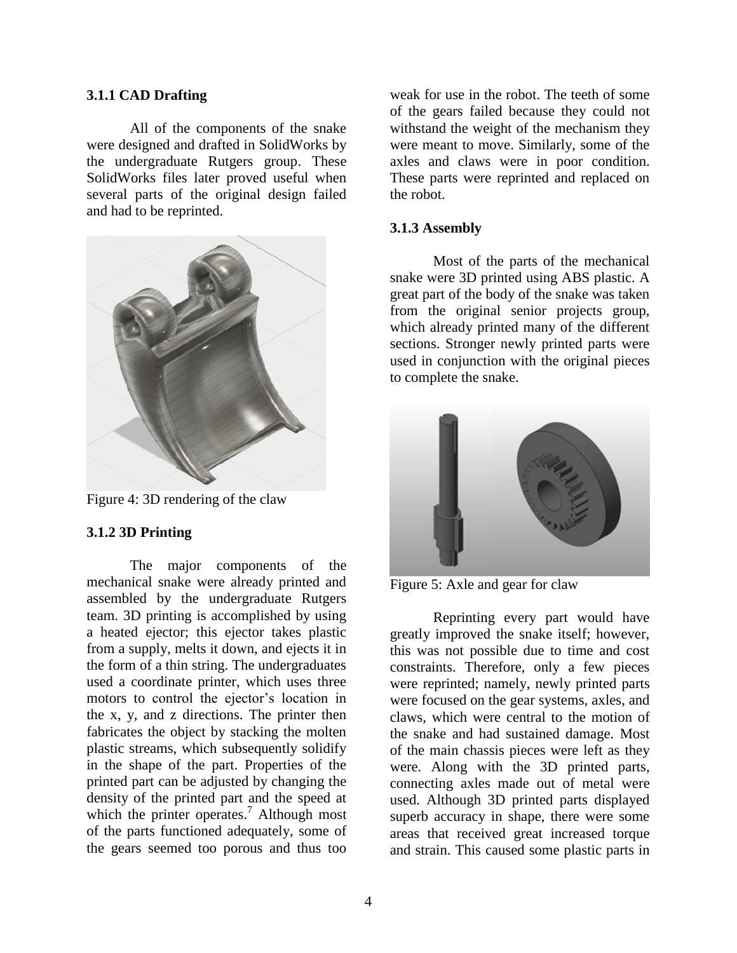#### **3.1.1 CAD Drafting**

All of the components of the snake were designed and drafted in SolidWorks by the undergraduate Rutgers group. These SolidWorks files later proved useful when several parts of the original design failed and had to be reprinted.



Figure 4: 3D rendering of the claw

#### **3.1.2 3D Printing**

The major components of the mechanical snake were already printed and assembled by the undergraduate Rutgers team. 3D printing is accomplished by using a heated ejector; this ejector takes plastic from a supply, melts it down, and ejects it in the form of a thin string. The undergraduates used a coordinate printer, which uses three motors to control the ejector's location in the x, y, and z directions. The printer then fabricates the object by stacking the molten plastic streams, which subsequently solidify in the shape of the part. Properties of the printed part can be adjusted by changing the density of the printed part and the speed at which the printer operates.<sup>7</sup> Although most of the parts functioned adequately, some of the gears seemed too porous and thus too weak for use in the robot. The teeth of some of the gears failed because they could not withstand the weight of the mechanism they were meant to move. Similarly, some of the axles and claws were in poor condition. These parts were reprinted and replaced on the robot.

#### **3.1.3 Assembly**

Most of the parts of the mechanical snake were 3D printed using ABS plastic. A great part of the body of the snake was taken from the original senior projects group, which already printed many of the different sections. Stronger newly printed parts were used in conjunction with the original pieces to complete the snake.



Figure 5: Axle and gear for claw

Reprinting every part would have greatly improved the snake itself; however, this was not possible due to time and cost constraints. Therefore, only a few pieces were reprinted; namely, newly printed parts were focused on the gear systems, axles, and claws, which were central to the motion of the snake and had sustained damage. Most of the main chassis pieces were left as they were. Along with the 3D printed parts, connecting axles made out of metal were used. Although 3D printed parts displayed superb accuracy in shape, there were some areas that received great increased torque and strain. This caused some plastic parts in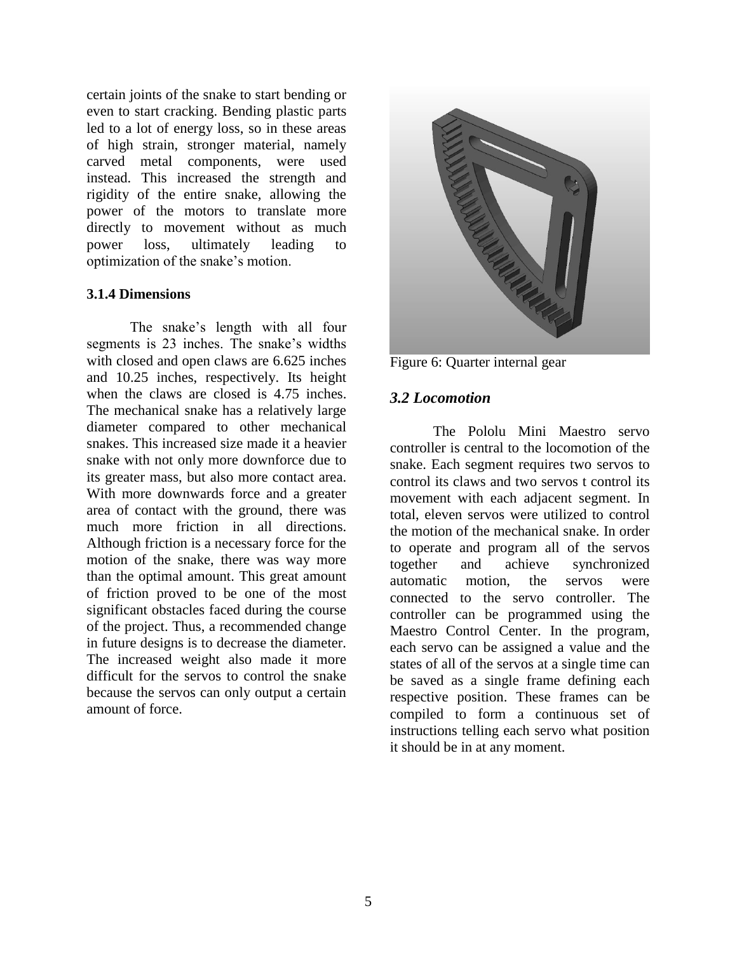certain joints of the snake to start bending or even to start cracking. Bending plastic parts led to a lot of energy loss, so in these areas of high strain, stronger material, namely carved metal components, were used instead. This increased the strength and rigidity of the entire snake, allowing the power of the motors to translate more directly to movement without as much power loss, ultimately leading to optimization of the snake's motion.

#### **3.1.4 Dimensions**

The snake's length with all four segments is 23 inches. The snake's widths with closed and open claws are 6.625 inches and 10.25 inches, respectively. Its height when the claws are closed is 4.75 inches. The mechanical snake has a relatively large diameter compared to other mechanical snakes. This increased size made it a heavier snake with not only more downforce due to its greater mass, but also more contact area. With more downwards force and a greater area of contact with the ground, there was much more friction in all directions. Although friction is a necessary force for the motion of the snake, there was way more than the optimal amount. This great amount of friction proved to be one of the most significant obstacles faced during the course of the project. Thus, a recommended change in future designs is to decrease the diameter. The increased weight also made it more difficult for the servos to control the snake because the servos can only output a certain amount of force.



Figure 6: Quarter internal gear

#### *3.2 Locomotion*

The Pololu Mini Maestro servo controller is central to the locomotion of the snake. Each segment requires two servos to control its claws and two servos t control its movement with each adjacent segment. In total, eleven servos were utilized to control the motion of the mechanical snake. In order to operate and program all of the servos together and achieve synchronized automatic motion, the servos were connected to the servo controller. The controller can be programmed using the Maestro Control Center. In the program, each servo can be assigned a value and the states of all of the servos at a single time can be saved as a single frame defining each respective position. These frames can be compiled to form a continuous set of instructions telling each servo what position it should be in at any moment.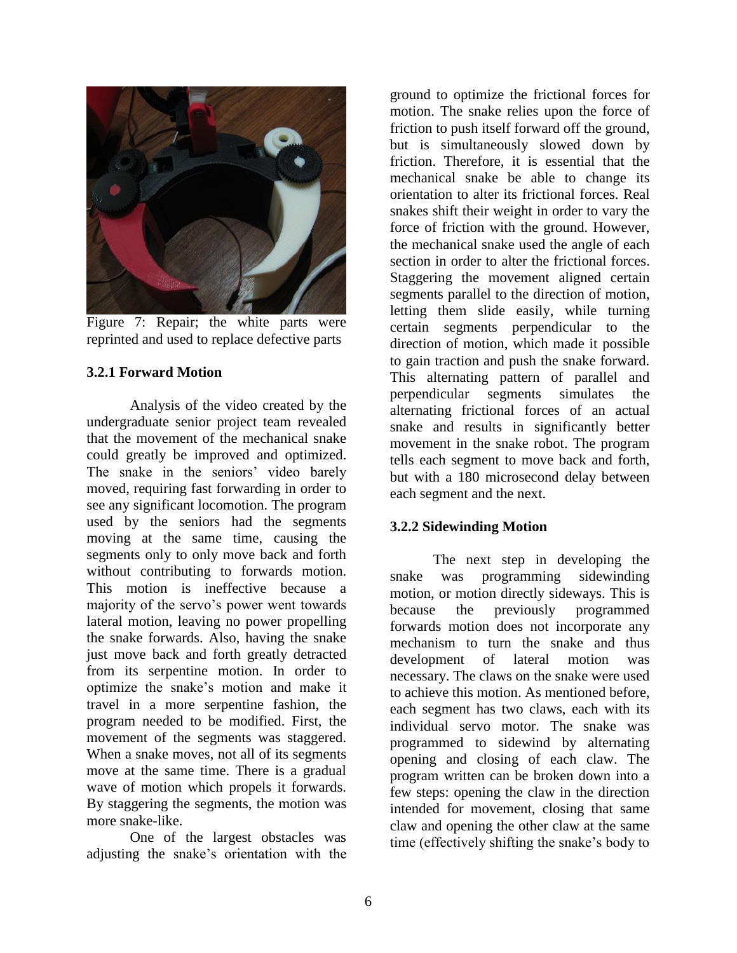

Figure 7: Repair; the white parts were reprinted and used to replace defective parts

#### **3.2.1 Forward Motion**

Analysis of the video created by the undergraduate senior project team revealed that the movement of the mechanical snake could greatly be improved and optimized. The snake in the seniors' video barely moved, requiring fast forwarding in order to see any significant locomotion. The program used by the seniors had the segments moving at the same time, causing the segments only to only move back and forth without contributing to forwards motion. This motion is ineffective because a majority of the servo's power went towards lateral motion, leaving no power propelling the snake forwards. Also, having the snake just move back and forth greatly detracted from its serpentine motion. In order to optimize the snake's motion and make it travel in a more serpentine fashion, the program needed to be modified. First, the movement of the segments was staggered. When a snake moves, not all of its segments move at the same time. There is a gradual wave of motion which propels it forwards. By staggering the segments, the motion was more snake-like.

One of the largest obstacles was adjusting the snake's orientation with the ground to optimize the frictional forces for motion. The snake relies upon the force of friction to push itself forward off the ground, but is simultaneously slowed down by friction. Therefore, it is essential that the mechanical snake be able to change its orientation to alter its frictional forces. Real snakes shift their weight in order to vary the force of friction with the ground. However, the mechanical snake used the angle of each section in order to alter the frictional forces. Staggering the movement aligned certain segments parallel to the direction of motion, letting them slide easily, while turning certain segments perpendicular to the direction of motion, which made it possible to gain traction and push the snake forward. This alternating pattern of parallel and perpendicular segments simulates the alternating frictional forces of an actual snake and results in significantly better movement in the snake robot. The program tells each segment to move back and forth, but with a 180 microsecond delay between each segment and the next.

#### **3.2.2 Sidewinding Motion**

The next step in developing the snake was programming sidewinding motion, or motion directly sideways. This is because the previously programmed forwards motion does not incorporate any mechanism to turn the snake and thus development of lateral motion was necessary. The claws on the snake were used to achieve this motion. As mentioned before, each segment has two claws, each with its individual servo motor. The snake was programmed to sidewind by alternating opening and closing of each claw. The program written can be broken down into a few steps: opening the claw in the direction intended for movement, closing that same claw and opening the other claw at the same time (effectively shifting the snake's body to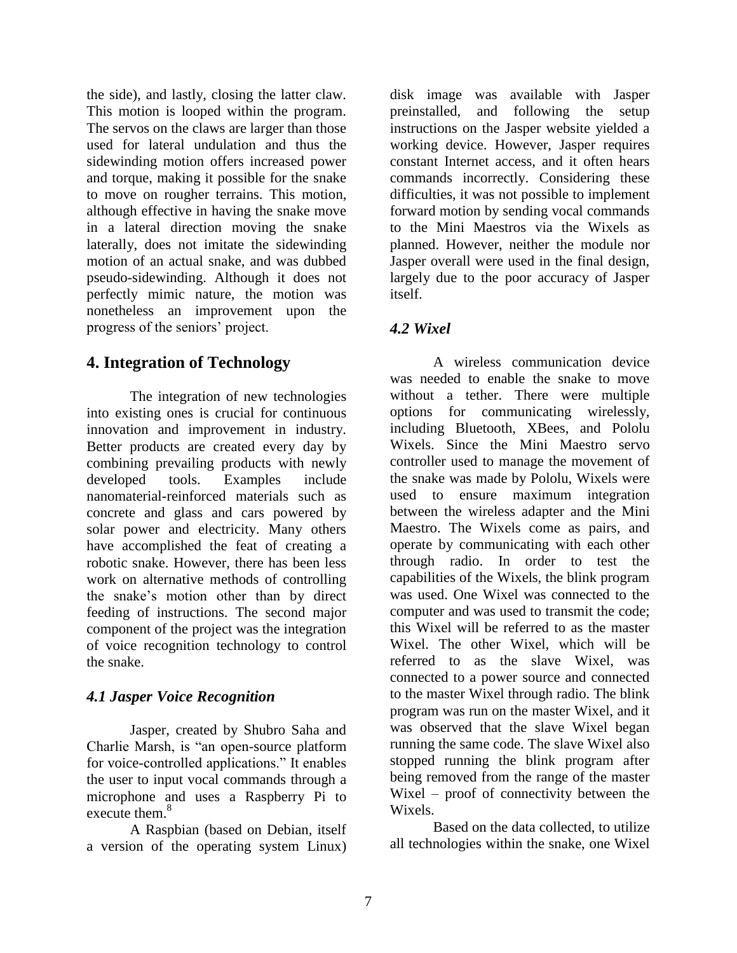the side), and lastly, closing the latter claw. This motion is looped within the program. The servos on the claws are larger than those used for lateral undulation and thus the sidewinding motion offers increased power and torque, making it possible for the snake to move on rougher terrains. This motion, although effective in having the snake move in a lateral direction moving the snake laterally, does not imitate the sidewinding motion of an actual snake, and was dubbed pseudo-sidewinding. Although it does not perfectly mimic nature, the motion was nonetheless an improvement upon the progress of the seniors' project.

### **4. Integration of Technology**

The integration of new technologies into existing ones is crucial for continuous innovation and improvement in industry. Better products are created every day by combining prevailing products with newly developed tools. Examples include nanomaterial-reinforced materials such as concrete and glass and cars powered by solar power and electricity. Many others have accomplished the feat of creating a robotic snake. However, there has been less work on alternative methods of controlling the snake's motion other than by direct feeding of instructions. The second major component of the project was the integration of voice recognition technology to control the snake.

### *4.1 Jasper Voice Recognition*

Jasper, created by Shubro Saha and Charlie Marsh, is "an open-source platform for voice-controlled applications." It enables the user to input vocal commands through a microphone and uses a Raspberry Pi to execute them.<sup>8</sup>

A Raspbian (based on Debian, itself a version of the operating system Linux)

disk image was available with Jasper preinstalled, and following the setup instructions on the Jasper website yielded a working device. However, Jasper requires constant Internet access, and it often hears commands incorrectly. Considering these difficulties, it was not possible to implement forward motion by sending vocal commands to the Mini Maestros via the Wixels as planned. However, neither the module nor Jasper overall were used in the final design, largely due to the poor accuracy of Jasper itself.

### *4.2 Wixel*

A wireless communication device was needed to enable the snake to move without a tether. There were multiple options for communicating wirelessly, including Bluetooth, XBees, and Pololu Wixels. Since the Mini Maestro servo controller used to manage the movement of the snake was made by Pololu, Wixels were used to ensure maximum integration between the wireless adapter and the Mini Maestro. The Wixels come as pairs, and operate by communicating with each other through radio. In order to test the capabilities of the Wixels, the blink program was used. One Wixel was connected to the computer and was used to transmit the code; this Wixel will be referred to as the master Wixel. The other Wixel, which will be referred to as the slave Wixel, was connected to a power source and connected to the master Wixel through radio. The blink program was run on the master Wixel, and it was observed that the slave Wixel began running the same code. The slave Wixel also stopped running the blink program after being removed from the range of the master Wixel – proof of connectivity between the Wixels.

Based on the data collected, to utilize all technologies within the snake, one Wixel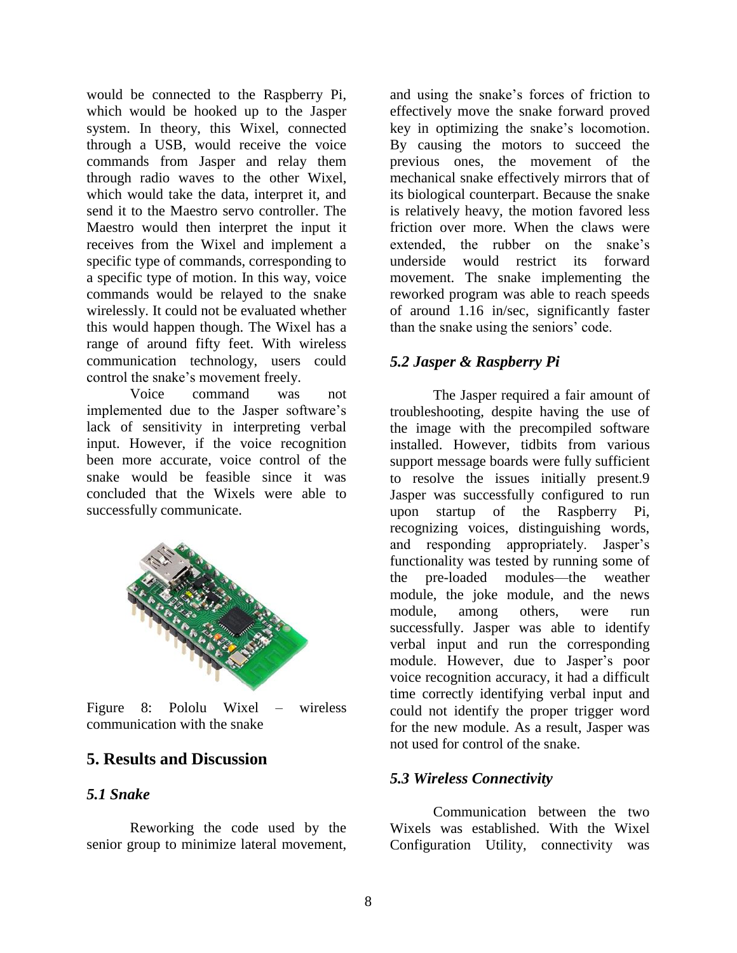would be connected to the Raspberry Pi, which would be hooked up to the Jasper system. In theory, this Wixel, connected through a USB, would receive the voice commands from Jasper and relay them through radio waves to the other Wixel, which would take the data, interpret it, and send it to the Maestro servo controller. The Maestro would then interpret the input it receives from the Wixel and implement a specific type of commands, corresponding to a specific type of motion. In this way, voice commands would be relayed to the snake wirelessly. It could not be evaluated whether this would happen though. The Wixel has a range of around fifty feet. With wireless communication technology, users could control the snake's movement freely.

Voice command was not implemented due to the Jasper software's lack of sensitivity in interpreting verbal input. However, if the voice recognition been more accurate, voice control of the snake would be feasible since it was concluded that the Wixels were able to successfully communicate.



Figure 8: Pololu Wixel – wireless communication with the snake

### **5. Results and Discussion**

#### *5.1 Snake*

Reworking the code used by the senior group to minimize lateral movement,

and using the snake's forces of friction to effectively move the snake forward proved key in optimizing the snake's locomotion. By causing the motors to succeed the previous ones, the movement of the mechanical snake effectively mirrors that of its biological counterpart. Because the snake is relatively heavy, the motion favored less friction over more. When the claws were extended, the rubber on the snake's underside would restrict its forward movement. The snake implementing the reworked program was able to reach speeds of around 1.16 in/sec, significantly faster than the snake using the seniors' code.

### *5.2 Jasper & Raspberry Pi*

The Jasper required a fair amount of troubleshooting, despite having the use of the image with the precompiled software installed. However, tidbits from various support message boards were fully sufficient to resolve the issues initially present.9 Jasper was successfully configured to run upon startup of the Raspberry Pi, recognizing voices, distinguishing words, and responding appropriately. Jasper's functionality was tested by running some of the pre-loaded modules—the weather module, the joke module, and the news module, among others, were run successfully. Jasper was able to identify verbal input and run the corresponding module. However, due to Jasper's poor voice recognition accuracy, it had a difficult time correctly identifying verbal input and could not identify the proper trigger word for the new module. As a result, Jasper was not used for control of the snake.

#### *5.3 Wireless Connectivity*

Communication between the two Wixels was established. With the Wixel Configuration Utility, connectivity was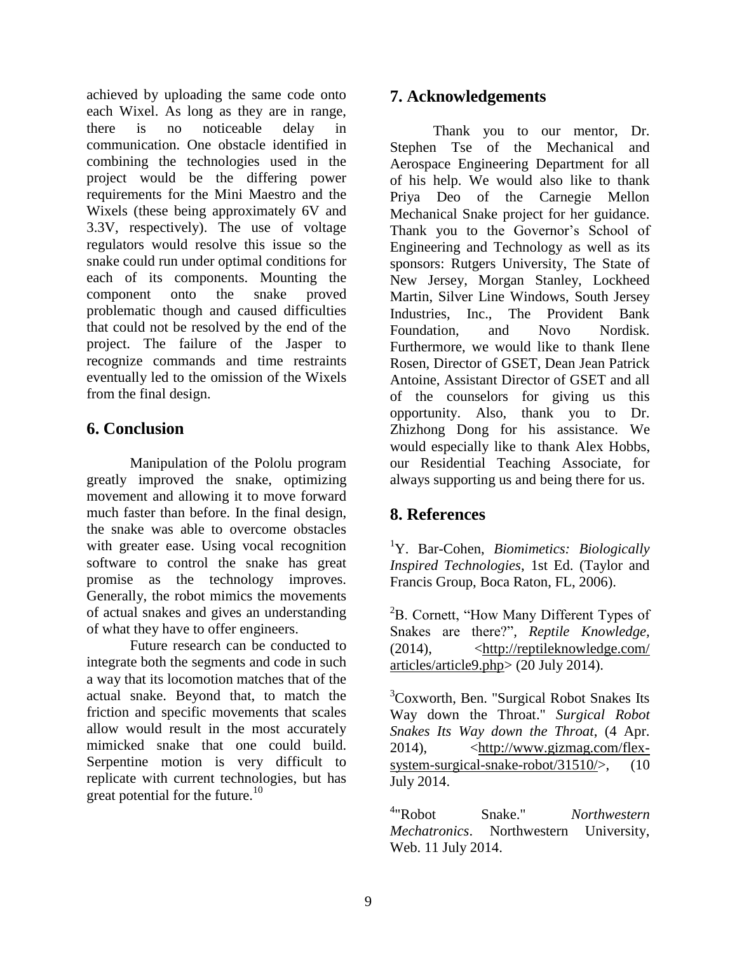achieved by uploading the same code onto each Wixel. As long as they are in range, there is no noticeable delay in communication. One obstacle identified in combining the technologies used in the project would be the differing power requirements for the Mini Maestro and the Wixels (these being approximately 6V and 3.3V, respectively). The use of voltage regulators would resolve this issue so the snake could run under optimal conditions for each of its components. Mounting the component onto the snake proved problematic though and caused difficulties that could not be resolved by the end of the project. The failure of the Jasper to recognize commands and time restraints eventually led to the omission of the Wixels from the final design.

### **6. Conclusion**

Manipulation of the Pololu program greatly improved the snake, optimizing movement and allowing it to move forward much faster than before. In the final design, the snake was able to overcome obstacles with greater ease. Using vocal recognition software to control the snake has great promise as the technology improves. Generally, the robot mimics the movements of actual snakes and gives an understanding of what they have to offer engineers.

Future research can be conducted to integrate both the segments and code in such a way that its locomotion matches that of the actual snake. Beyond that, to match the friction and specific movements that scales allow would result in the most accurately mimicked snake that one could build. Serpentine motion is very difficult to replicate with current technologies, but has great potential for the future.<sup>10</sup>

#### **7. Acknowledgements**

Thank you to our mentor, Dr. Stephen Tse of the Mechanical and Aerospace Engineering Department for all of his help. We would also like to thank Priya Deo of the Carnegie Mellon Mechanical Snake project for her guidance. Thank you to the Governor's School of Engineering and Technology as well as its sponsors: Rutgers University, The State of New Jersey, Morgan Stanley, Lockheed Martin, Silver Line Windows, South Jersey Industries, Inc., The Provident Bank Foundation, and Novo Nordisk. Furthermore, we would like to thank Ilene Rosen, Director of GSET, Dean Jean Patrick Antoine, Assistant Director of GSET and all of the counselors for giving us this opportunity. Also, thank you to Dr. Zhizhong Dong for his assistance. We would especially like to thank Alex Hobbs, our Residential Teaching Associate, for always supporting us and being there for us.

### **8. References**

<sup>1</sup>Y. Bar-Cohen, *Biomimetics: Biologically Inspired Technologies*, 1st Ed. (Taylor and Francis Group, Boca Raton, FL, 2006).

 ${}^{2}B$ . Cornett, "How Many Different Types of Snakes are there?"*, Reptile Knowledge,*   $(2014)$ ,  $\leq$ http://reptileknowledge.com/ articles/article9.php> (20 July 2014).

<sup>3</sup>Coxworth, Ben. "Surgical Robot Snakes Its Way down the Throat." *Surgical Robot Snakes Its Way down the Throat*, (4 Apr. 2014), <http://www.gizmag.com/flexsystem-surgical-snake-robot/31510/>, (10) July 2014.

 $4$ "Robot Snake." *Northwestern Mechatronics*. Northwestern University, Web. 11 July 2014.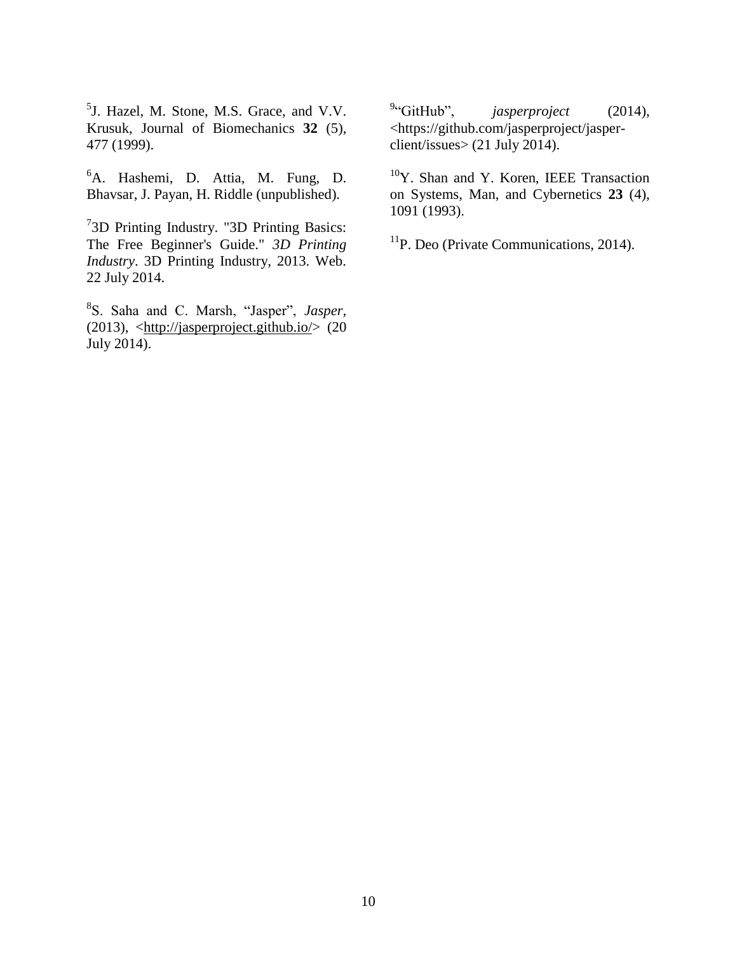5 J. Hazel, M. Stone, M.S. Grace, and V.V. Krusuk, Journal of Biomechanics **32** (5), 477 (1999).

<sup>6</sup>A. Hashemi, D. Attia, M. Fung, D. Bhavsar, J. Payan, H. Riddle (unpublished).

<sup>7</sup>3D Printing Industry. "3D Printing Basics: The Free Beginner's Guide." *3D Printing Industry*. 3D Printing Industry, 2013. Web. 22 July 2014.

8 S. Saha and C. Marsh, "Jasper", *Jasper,*  (2013),  $\langle$ http://jasperproject.github.io/ $>$  (20) July 2014).

 $94$ <sup>9</sup>"GitHub", *jasperproject* (2014), <https://github.com/jasperproject/jasperclient/issues> (21 July 2014).

<sup>10</sup>Y. Shan and Y. Koren, IEEE Transaction on Systems, Man, and Cybernetics **23** (4), 1091 (1993).

 $<sup>11</sup>P$ . Deo (Private Communications, 2014).</sup>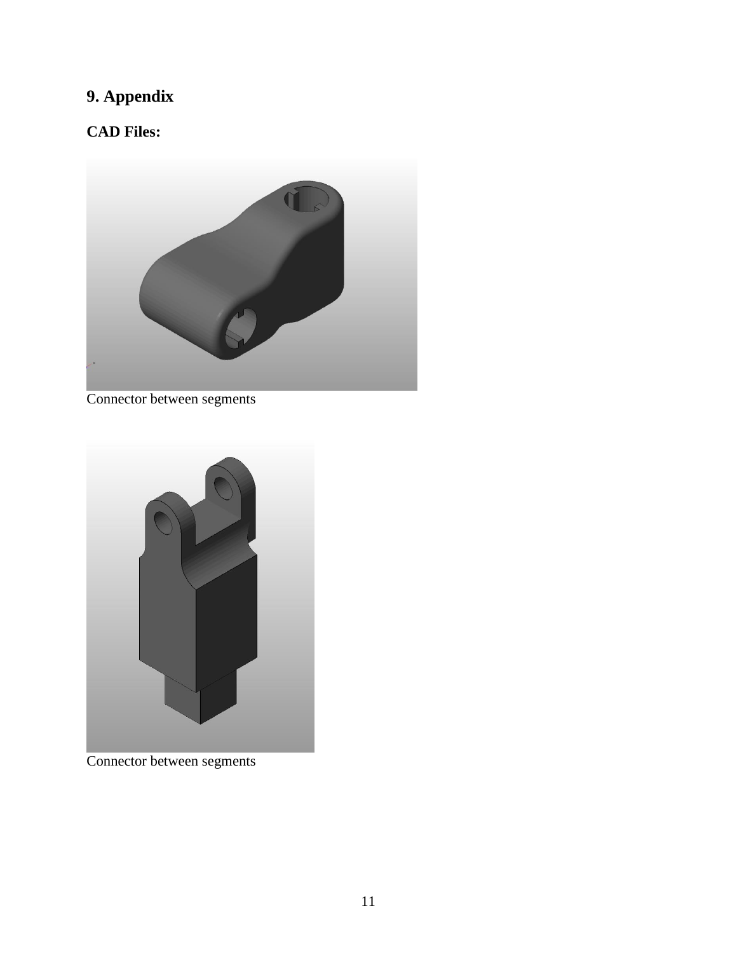# **9. Appendix**

### **CAD Files:**



Connector between segments



Connector between segments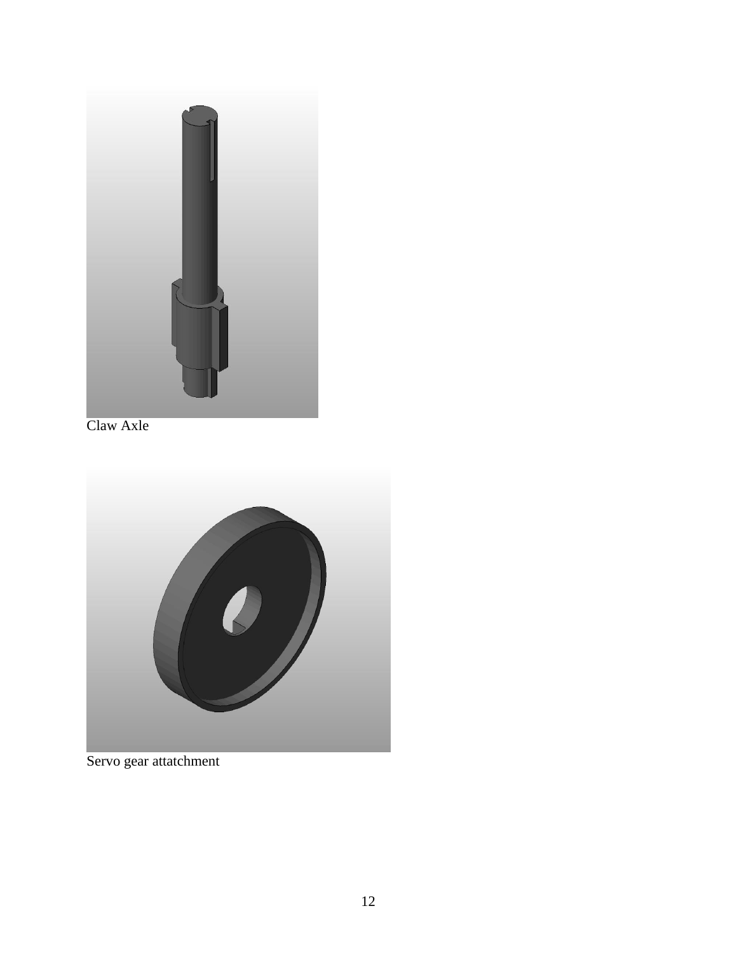

Claw Axle



Servo gear attatchment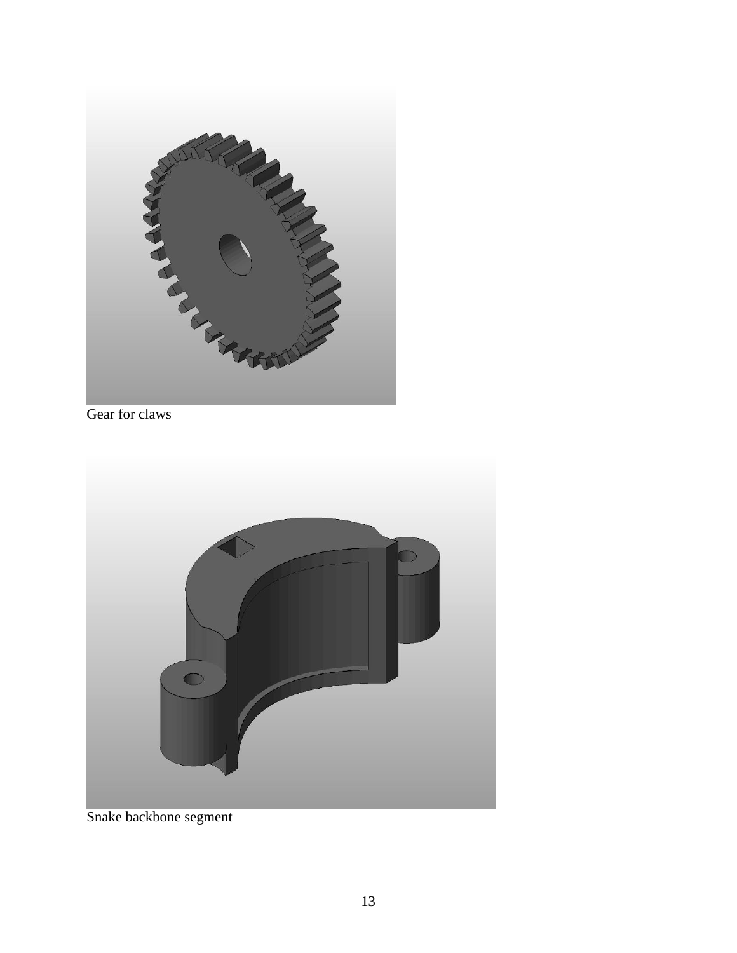

Gear for claws



Snake backbone segment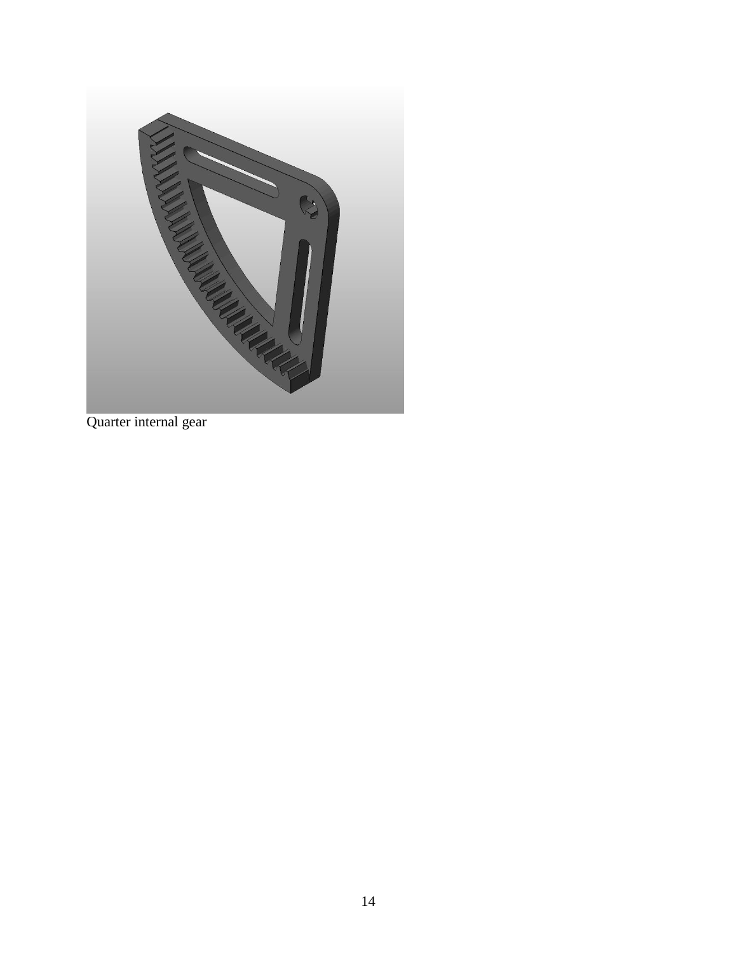

Quarter internal gear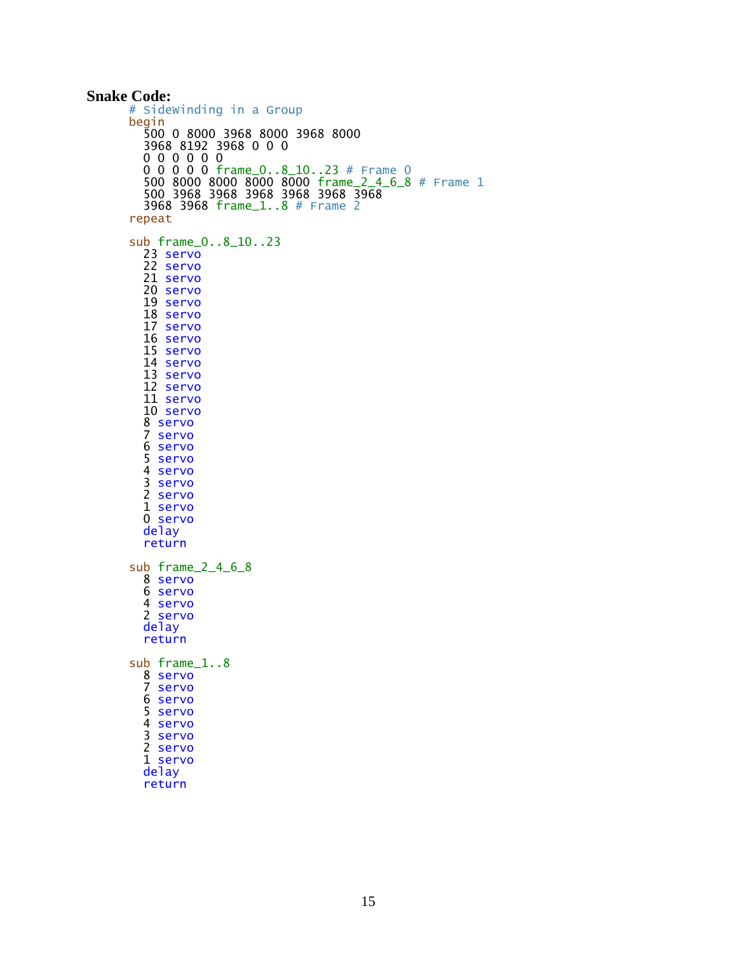```
Snake Code:
      # SideWinding in a Group
      begin
       500 0 8000 3968 8000 3968 8000 
       3968 8192 3968 0 0 0 
       0 0 0 0 0 0 
       0 0 0 0 0 frame_0..8_10..23 # Frame 0
       500 8000 8000 8000 8000 frame_2_4_6_8 # Frame 1
       500 3968 3968 3968 3968 3968 3968 
       3968 3968 frame_1..8 # Frame 2
      repeat
      sub frame_0..8_10..23
       23 servo
       22 servo
       21 servo
         20 servo
         19 servo
         18 servo
         17 servo
         16 servo
         15 servo
         14 servo
       13 servo
       12 servo
         11 servo
         10 servo
       8 servo
       7 servo
         6 servo
         5 servo
         4 servo
       3 servo
       2 servo
         1 servo
         0 servo
         delay
         return
      sub frame_2_4_6_8
         8 servo
         6 servo
       4 servo
       2 servo
         delay
         return
      sub frame_1..8
       8 servo
       7 servo
       6 servo
       5 servo
       4 servo
       3 servo
         2 servo
         1 servo
         delay
         return
```